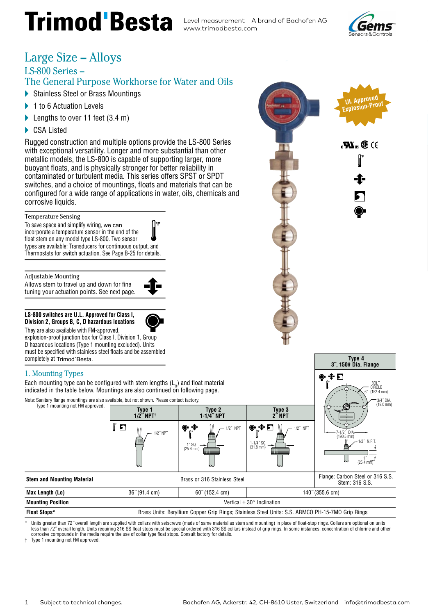# **Trimod Besta** Level measurement A brand of Bachofen AG

www.trimodbesta.com



### Large Size - Alloys

#### LS-800 Series -

#### The General Purpose Workhorse for Water and Oils

- Stainless Steel or Brass Mountings
- 1 to 6 Actuation Levels ь
- Elengths to over 11 feet  $(3.4 \text{ m})$
- CSA Listed

Rugged construction and multiple options provide the LS-800 Series with exceptional versatility. Longer and more substantial than other metallic models, the LS-800 is capable of supporting larger, more buoyant floats, and is physically stronger for better reliability in contaminated or turbulent media. This series offers SPST or SPDT switches, and a choice of mountings, floats and materials that can be configured for a wide range of applications in water, oils, chemicals and corrosive liquids.

#### **Temperature Sensing**

To save space and simplify wiring, we can incorporate a temperature sensor in the end of the float stem on any model type LS-800. Two sensor types are available: Transducers for continuous output, and Thermostats for switch actuation. See Page B-25 for details.

#### **Adjustable Mounting**

Allows stem to travel up and down for fine tuning your actuation points. See next page.



#### LS-800 switches are U.L. Approved for Class I, Division 2, Groups B, C, D hazardous locations

They are also available with FM-approved, explosion-proof junction box for Class I, Division 1, Group

D hazardous locations (Type 1 mounting excluded). Units must be specified with stainless steel floats and be assembled completely at Trimod'Besta.

#### 1. Mounting Types

Each mounting type can be configured with stem lengths  $(L_0)$  and float material indicated in the table below. Mountings are also continued on following page.

| Note: Sanitary flange mountings are also available, but not shown. Please contact factory. |                                    | 3/4" DIA.<br>(19.0 mm)                                                                           |                                                                                         |                                                                             |  |
|--------------------------------------------------------------------------------------------|------------------------------------|--------------------------------------------------------------------------------------------------|-----------------------------------------------------------------------------------------|-----------------------------------------------------------------------------|--|
| Type 1 mounting not FM approved.                                                           | Type 1<br>$1/2$ " NPT <sup>+</sup> | Type 2<br>$1 - 1/4$ " NPT                                                                        | Type 3<br>$2^{\prime\prime}$ NPT                                                        |                                                                             |  |
|                                                                                            | ם ]<br>1/2" NPT<br>ь.              | $\bullet$ +<br>$1/2$ " NPT<br>I″ SQ.<br>$(25.4 \text{ mm})$<br>ь.                                | $\bullet$ $\bullet$ $\Gamma$<br>/2" NPT<br>$1 - 1/4$ " SQ.<br>$(31.8 \text{ mm})$<br>ь. | -1/21<br>- DIA<br>$(190.5$ mm)<br>1/2″N.P.T.<br>ь.<br>$(25.4 \, \text{mm})$ |  |
| <b>Stem and Mounting Material</b>                                                          |                                    | Brass or 316 Stainless Steel                                                                     |                                                                                         | Flange: Carbon Steel or 316 S.S.<br>Stem: 316 S.S.                          |  |
| <b>Max Length (Lo)</b>                                                                     | $36^{\circ}$ (91.4 cm)             | $60^{\circ}$ (152.4 cm)                                                                          |                                                                                         | 140" (355.6 cm)                                                             |  |
| <b>Mounting Position</b>                                                                   | Vertical $\pm$ 30° Inclination     |                                                                                                  |                                                                                         |                                                                             |  |
| <b>Float Stops*</b>                                                                        |                                    | Brass Units: Beryllium Copper Grip Rings; Stainless Steel Units: S.S. ARMCO PH-15-7MO Grip Rings |                                                                                         |                                                                             |  |

Units greater than 72" overall length are supplied with collars with setscrews (made of same material as stem and mounting) in place of float-stop rings. Collars are optional on units less than 72" overall length. Units requiring 316 SS float stops must be special ordered with 316 SS collars instead of grip rings. In some instances, concentration of chlorine and other corrosive compounds in the media require the use of collar type float stops. Consult factory for details.

Type 1 mounting not FM approved.  $\ddagger$ 



Type 4

3", 150# Dia, Flange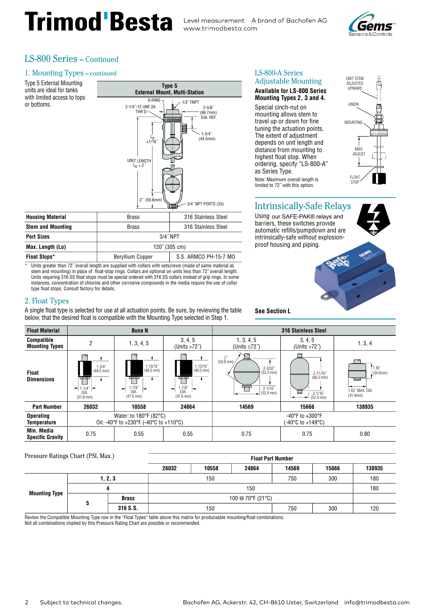## Trimod Besta Level measurement Abrand of Bachofen AG



#### **I.S-800 Series - Continued**

#### 1. Mounting Types - continued

| Type 5 External Mounting<br>units are ideal for tanks<br>with limited access to tops<br>or bottoms.                                                      | Type 5<br><b>External Mount, Multi-Station</b><br>0-RING -<br>$1/2$ " FNPT<br>2-1/4"-12 UNF-2A<br>$2 - 5/8$          |                       |  |  |  |  |  |  |  |
|----------------------------------------------------------------------------------------------------------------------------------------------------------|----------------------------------------------------------------------------------------------------------------------|-----------------------|--|--|--|--|--|--|--|
| $THR'D -$<br>(66.7mm)<br>DIA, REF.<br>$1 - 3/4$ "<br>ہا<br>"1/16≖<br>(44.5mm)<br>UNIT LENGTH<br>$L_0 + 2^{n}$<br>$2^{r}$ (50.8mm)<br>3/4" NPT PORTS (2X) |                                                                                                                      |                       |  |  |  |  |  |  |  |
| <b>Housing Material</b>                                                                                                                                  | <b>Brass</b>                                                                                                         | 316 Stainless Steel   |  |  |  |  |  |  |  |
| <b>Stem and Mounting</b>                                                                                                                                 | <b>Brass</b>                                                                                                         | 316 Stainless Steel   |  |  |  |  |  |  |  |
| <b>Port Sizes</b>                                                                                                                                        | 3/4" NPT                                                                                                             |                       |  |  |  |  |  |  |  |
| Max. Length (Lo)                                                                                                                                         | 120" (305 cm)                                                                                                        |                       |  |  |  |  |  |  |  |
| <b>Float Stops*</b>                                                                                                                                      | Beryllium Copper                                                                                                     | S.S. ARMCO PH-15-7 MO |  |  |  |  |  |  |  |
|                                                                                                                                                          | * The the concept of the a 70" concell has also according to the selling with extrements faced and come metabolished |                       |  |  |  |  |  |  |  |

Units greater than 72" overall length are supplied with collars with setscrews (made of same mater stem and mounting) in place of float-stop rings. Collars are optional on units less than 72" overall length.<br>Units requiring 316 SS float stops must be special ordered with 316 SS collars instead of grip rings. In some instances, concentration of chlorine and other corrosive compounds in the media require the use of collar type float stops. Consult factory for details.

#### 2. Float Types

A single float type is selected for use at all actuation points. Be sure, by reviewing the table below, that the desired float is compatible with the Mounting Type selected in Step 1.

| LS-800-A Series            |  |
|----------------------------|--|
| <b>Adjustable Mounting</b> |  |

#### **Available for LS-800 Series** Mounting Types 2, 3 and 4.

Special cinch-nut on mounting allows stem to travel up or down for fine tuning the actuation points. The extent of adjustment depends on unit length and distance from mounting to highest float stop. When ordering, specify "LS-800-A" as Series Type. Note: Maximum overall length is limited to 72" with this option.



#### **Intrinsically-Safe Relays**

Using our SAFE-PAK® relays and barriers, these switches provide automatic refills/pumpdown and are intrinsically-safe without explosionproof housing and piping.



**See Section L** 

**Float Part Number** 

| <b>Float Material</b>                      |                                                                                                                         | <b>Buna N</b>                                                                             |                                                                                  | <b>316 Stainless Steel</b>                                                                                      |                                                                               |                                                   |  |
|--------------------------------------------|-------------------------------------------------------------------------------------------------------------------------|-------------------------------------------------------------------------------------------|----------------------------------------------------------------------------------|-----------------------------------------------------------------------------------------------------------------|-------------------------------------------------------------------------------|---------------------------------------------------|--|
| <b>Compatible</b><br><b>Mounting Types</b> | 2                                                                                                                       | 1, 3, 4, 5                                                                                | 3, 4, 5<br>(Units $>72^{\circ}$ )                                                | 1, 3, 4, 5<br>(Units $\leq 72$ ")                                                                               | 3, 4, 5<br>(Units $>72^{\circ}$ )                                             | 1, 3, 4                                           |  |
| Float<br><b>Dimensions</b>                 | ∼<br>$1 - 3/4$<br>$(44.5 \, \text{mm})$<br>प्राप्त<br>$1 - 1/4^{\sim}$ $\rightarrow$<br>÷<br>DIA<br>$(31.8 \text{ mm})$ | ∼<br>$1 - 13/16$<br>$(46.0 \text{ mm})$<br>무무<br>$-7/8$<br>÷<br><b>DIA</b><br>$(47.6$ mm) | $1 - 13/16$<br>$(46.0 \text{ mm})$<br>ΨФ<br>$1 - 7/8$<br>÷<br>DIA<br>$(47.6$ mm) | $\frac{2^r}{(50.8 \text{ mm})}$<br>$2 - 3/32$<br>$(53.3 \text{ mm})$<br>面面<br>$2 - 1/16$<br>$(52.4 \text{ mm})$ | $2 - 11/16"$<br>$(68.3 \text{ mm})$<br>E<br>$2 - 1/16$<br>$(52.4 \text{ mm})$ | 1.36''<br>(34.6mm)<br>1.63" MAX. DIA.<br>(41.4mm) |  |
| <b>Part Number</b>                         | 26032                                                                                                                   | 10558                                                                                     | 24864                                                                            | 14569                                                                                                           | 15666                                                                         | 138935                                            |  |
| <b>Operating</b><br><b>Temperature</b>     | Water: to 180°F (82°C)<br>Oil: -40°F to +230°F (-40°C to +110°C)                                                        |                                                                                           |                                                                                  | -40°F to +300°F<br>(-40°C to +149°C)                                                                            |                                                                               |                                                   |  |
| Min. Media<br><b>Specific Gravity</b>      | 0.75                                                                                                                    | 0.55                                                                                      | 0.55                                                                             | 0.75                                                                                                            | 0.75                                                                          | 0.80                                              |  |

### Pressure Ratings Chart (PSI, Max.)

|                      |         |              | 26032             | 10558 | 24864 | 14569 | 15666 | 138935 |
|----------------------|---------|--------------|-------------------|-------|-------|-------|-------|--------|
| <b>Mounting Type</b> | 1, 2, 3 |              | 150               |       |       | 750   | 300   | 180    |
|                      |         |              | 150               |       |       |       |       | 180    |
|                      |         | <b>Brass</b> | 100 @ 70°F (21°C) |       |       |       |       |        |
|                      |         | 316 S.S.     |                   | 150   |       | 750   | 300   | 120    |

Review the Compatible Mounting Type row in the "Float Types" table above this matrix for produceable mounting/float combinations.

Not all combinations implied by this Pressure Rating Chart are possible or recommended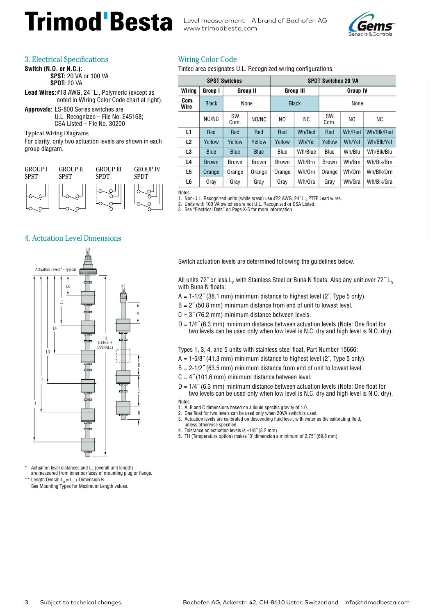### **Trimod Besta** Level measurement A brand of Bachofen AG

www.trimodbesta.com



#### 3. Electrical Specifications

**Switch (N.O. or N.C.): SPST: 20 VA or 100 VA SPDT: 20 VA** 

- Lead Wires: #18 AWG, 24"L., Polymeric (except as noted in Wiring Color Code chart at right).
- **Approvals: LS-800 Series switches are** U.L. Recognized - File No. E45168; CSA Listed - File No. 30200

**Typical Wiring Diagrams** 

For clarity, only two actuation levels are shown in each group diagram.



#### **Wiring Color Code**

Tinted area designates U.L. Recognized wiring configurations.

| <b>SPST Switches</b> |              |                 |              | <b>SPDT Switches 20 VA</b> |                  |                 |        |            |
|----------------------|--------------|-----------------|--------------|----------------------------|------------------|-----------------|--------|------------|
| Wiring               | Group I      | <b>Group II</b> |              |                            | <b>Group III</b> | <b>Group IV</b> |        |            |
| Com.<br>Wire         | <b>Black</b> | None            |              | <b>Black</b>               |                  | None            |        |            |
|                      | NO/NC        | SW.<br>Com.     | NO/NC        | NO.                        | <b>NC</b>        | SW.<br>Com.     | NO.    | <b>NC</b>  |
| L1                   | Red          | Red             | Red          | Red                        | Wh/Red           | Red             | Wh/Red | Wh/Blk/Red |
| L2                   | Yellow       | Yellow          | Yellow       | Yellow                     | Wh/Yel           | Yellow          | Wh/Yel | Wh/Blk/Yel |
| L3                   | <b>Blue</b>  | <b>Blue</b>     | <b>Blue</b>  | Blue                       | Wh/Blue          | Blue            | Wh/Blu | Wh/Blk/Blu |
| L4                   | <b>Brown</b> | <b>Brown</b>    | <b>Brown</b> | Brown                      | Wh/Brn           | <b>Brown</b>    | Wh/Brn | Wh/Blk/Brn |
| L5                   | Orange       | Orange          | Orange       | Orange                     | Wh/Orn           | Orange          | Wh/Orn | Wh/Blk/Orn |
| L6                   | Gray         | Gray            | Gray         | Gray                       | Wh/Gra           | Gray            | Wh/Gra | Wh/Blk/Gra |

Notes: 1. Non-U.L. Recognized units (white areas) use #22 AWG, 24" L., PTFE Lead wires.<br>2. Units with 100 VA switches are not U.L. Recognized or CSA Listed.<br>3. See "Electrical Data" on Page X-5 for more information.

#### **4. Actuation Level Dimensions**



Actuation level distances and L<sub>o</sub> (overall unit length)

are measured from inner surfaces of mounting plug or flange. Length Overall  $L_0 = L_1 +$  Dimension B.

See Mounting Types for Maximum Length values.

Switch actuation levels are determined following the quidelines below.

All units 72" or less  $L_0$  with Stainless Steel or Buna N floats. Also any unit over 72"  $L_0$ with Buna N floats:

 $A = 1-1/2$ " (38.1 mm) minimum distance to highest level (2", Type 5 only).

 $B = 2$ " (50.8 mm) minimum distance from end of unit to lowest level.

 $C = 3$ " (76.2 mm) minimum distance between levels.

 $D = 1/4$ " (6.3 mm) minimum distance between actuation levels (Note: One float for two levels can be used only when low level is N.C. dry and high level is N.O. dry).

Types 1, 3, 4, and 5 units with stainless steel float, Part Number 15666:

- $A = 1-5/8$ " (41.3 mm) minimum distance to highest level (2", Type 5 only).
- $B = 2-1/2$ " (63.5 mm) minimum distance from end of unit to lowest level.
- $C = 4$ " (101.6 mm) minimum distance between level.

 $D = 1/4$ " (6.3 mm) minimum distance between actuation levels (Note: One float for two levels can be used only when low level is N.C. dry and high level is N.O. dry). Notes<sup>-</sup>

1. A, B and C dimensions based on a liquid specific gravity of 1.0.

- 2. One float for two levels can be used only when 20VA switch is used. 3. Actuation levels are calibrated on descending fluid level, with water as the calibrating fluid,
- unless otherwise specified.
- 4. Tolerance on actuation levels is  $\pm 1/8$ " (3.2 mm).
- 5. TH (Temperature option) makes "B" dimension a minimum of 2.75" (69.8 mm).